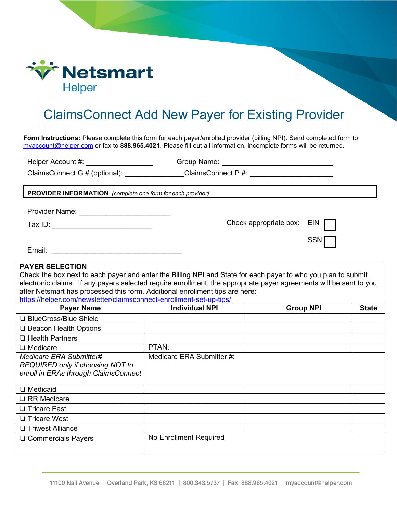

## ClaimsConnect Add New Payer for Existing Provider

**Form Instructions:** Please complete this form for each payer/enrolled provider (billing NPI). Send completed form to [myaccount@helper.com](mailto:myaccount@helper.com) or fax to **888.965.4021**. Please fill out all information, incomplete forms will be returned.

Helper Account #: \_\_\_\_\_\_\_\_\_\_\_\_\_\_\_\_\_ Group Name: \_\_\_\_\_\_\_\_\_\_\_\_\_\_\_\_\_\_\_\_\_\_\_\_\_\_\_\_

ClaimsConnect G # (optional): \_\_\_\_\_\_\_\_\_\_\_\_\_\_\_ClaimsConnect P #: \_\_\_\_\_\_\_\_\_\_\_\_\_\_\_\_

**PROVIDER INFORMATION** *(complete one form for each provider)*

Provider Name: \_\_\_\_\_\_\_\_\_\_\_\_\_\_\_\_\_\_\_\_\_\_\_

Tax ID: \_\_\_\_\_\_\_\_\_\_\_\_\_\_\_\_\_\_\_\_\_\_\_\_\_

Check appropriate box: EIN

**SSN** 

## **PAYER SELECTION**

Check the box next to each payer and enter the Billing NPI and State for each payer to who you plan to submit electronic claims. If any payers selected require enrollment, the appropriate payer agreements will be sent to you after Netsmart has processed this form. Additional enrollment tips are here:

## <https://helper.com/newsletter/claimsconnect-enrollment-set-up-tips/>

| <b>Payer Name</b>                                                                                   | <b>Individual NPI</b>     | <b>Group NPI</b> | <b>State</b> |
|-----------------------------------------------------------------------------------------------------|---------------------------|------------------|--------------|
| □ BlueCross/Blue Shield                                                                             |                           |                  |              |
| $\Box$ Beacon Health Options                                                                        |                           |                  |              |
| $\Box$ Health Partners                                                                              |                           |                  |              |
| $\Box$ Medicare                                                                                     | PTAN:                     |                  |              |
| Medicare ERA Submitter#<br>REQUIRED only if choosing NOT to<br>enroll in ERAs through ClaimsConnect | Medicare ERA Submitter #: |                  |              |
| $\Box$ Medicaid                                                                                     |                           |                  |              |
| $\Box$ RR Medicare                                                                                  |                           |                  |              |
| □ Tricare East                                                                                      |                           |                  |              |
| $\Box$ Tricare West                                                                                 |                           |                  |              |
| □ Triwest Alliance                                                                                  |                           |                  |              |
| □ Commercials Payers                                                                                | No Enrollment Required    |                  |              |